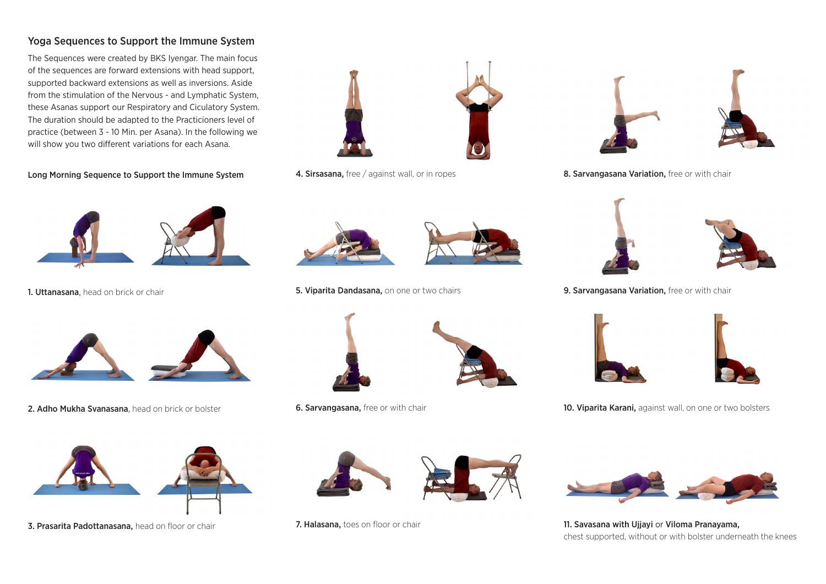## Yoga Sequences to Support the Immune System

The Sequences were created by BKS Iyengar. The main focus of the sequences are forward extensions with head support, supported backward extensions as well as inversions. Aside from the stimulation of the Nervous - and Lymphatic System, these Asanas support our Respiratory and Ciculatory System. The duration should be adapted to the Practicioners level of practice (between 3 - 10 Min. per Asana). In the following we will show you two different variations for each Asana.

Long Morning Sequence to Support the Immune System



1. Uttanasana, head on brick or chair



2. Adho Mukha Svanasana, head on brick or bolster



3. Prasarita Padottanasana, head on floor or chair



4. Sirsasana, free / against wall, or in ropes



5. Viparita Dandasana, on one or two chairs



**6. Sarvangasana, free or with chair** 



7. Halasana, toes on floor or chair





8. Sarvangasana Variation, free or with chair



9. Sarvangasana Variation, free or with chair



10. Viparita Karani, against wall, on one or two bolsters



11. Savasana with Ujjayi or Viloma Pranayama, chest supported, without or with bolster underneath the knees